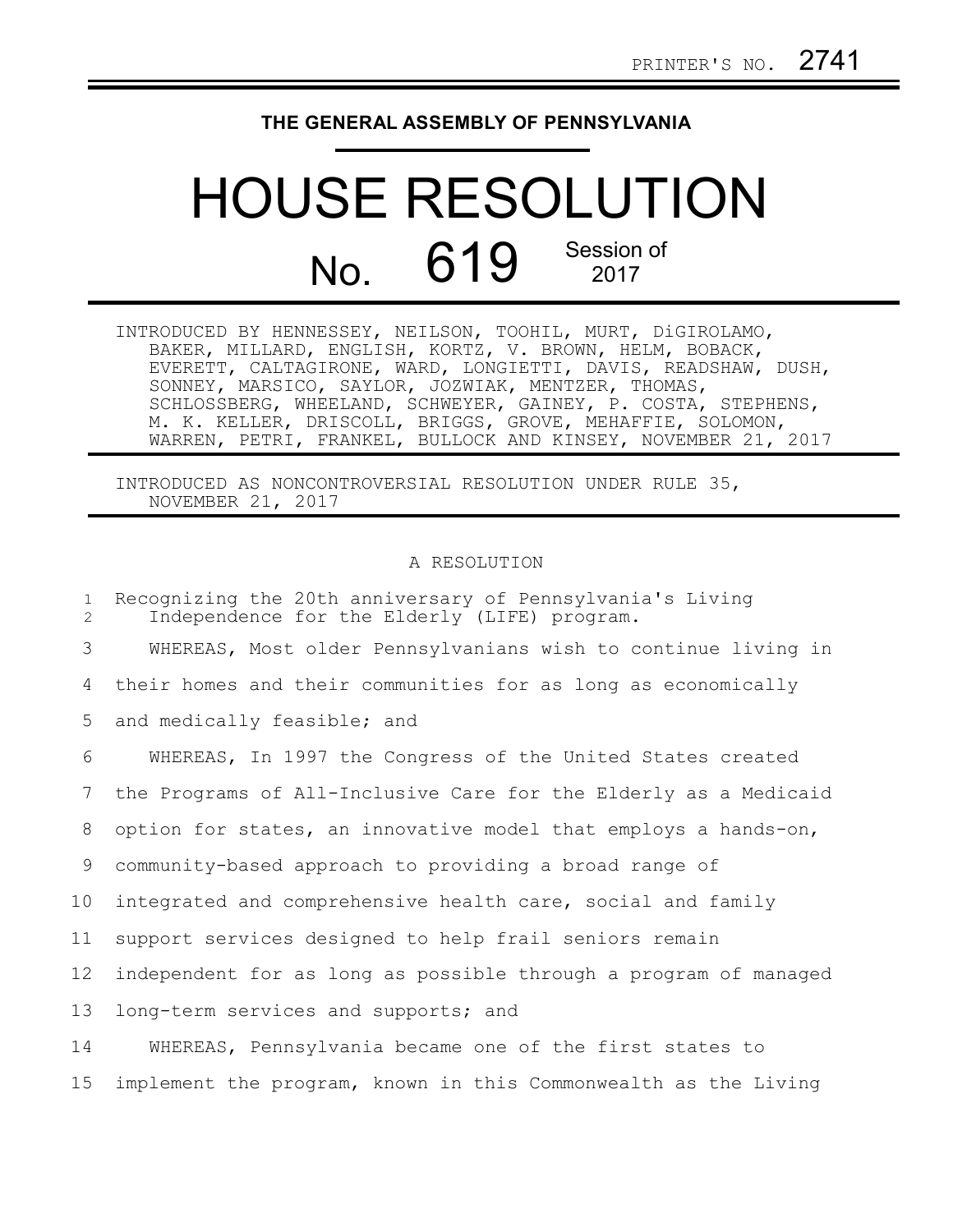## **THE GENERAL ASSEMBLY OF PENNSYLVANIA**

## HOUSE RESOLUTION No. 619 Session of 2017

| INTRODUCED BY HENNESSEY, NEILSON, TOOHIL, MURT, DiGIROLAMO,   |
|---------------------------------------------------------------|
| BAKER, MILLARD, ENGLISH, KORTZ, V. BROWN, HELM, BOBACK,       |
| EVERETT, CALTAGIRONE, WARD, LONGIETTI, DAVIS, READSHAW, DUSH, |
| SONNEY, MARSICO, SAYLOR, JOZWIAK, MENTZER, THOMAS,            |
| SCHLOSSBERG, WHEELAND, SCHWEYER, GAINEY, P. COSTA, STEPHENS,  |
| M. K. KELLER, DRISCOLL, BRIGGS, GROVE, MEHAFFIE, SOLOMON,     |
| WARREN, PETRI, FRANKEL, BULLOCK AND KINSEY, NOVEMBER 21, 2017 |

INTRODUCED AS NONCONTROVERSIAL RESOLUTION UNDER RULE 35, NOVEMBER 21, 2017

## A RESOLUTION

| $\mathbf{1}$<br>2 | Recognizing the 20th anniversary of Pennsylvania's Living<br>Independence for the Elderly (LIFE) program. |
|-------------------|-----------------------------------------------------------------------------------------------------------|
| 3                 | WHEREAS, Most older Pennsylvanians wish to continue living in                                             |
| 4                 | their homes and their communities for as long as economically                                             |
| 5                 | and medically feasible; and                                                                               |
| 6                 | WHEREAS, In 1997 the Congress of the United States created                                                |
| 7                 | the Programs of All-Inclusive Care for the Elderly as a Medicaid                                          |
| 8                 | option for states, an innovative model that employs a hands-on,                                           |
| 9                 | community-based approach to providing a broad range of                                                    |
| 10                | integrated and comprehensive health care, social and family                                               |
| 11                | support services designed to help frail seniors remain                                                    |
| 12 <sup>°</sup>   | independent for as long as possible through a program of managed                                          |
| 13                | long-term services and supports; and                                                                      |
| 14                | WHEREAS, Pennsylvania became one of the first states to                                                   |
| 15                | implement the program, known in this Commonwealth as the Living                                           |